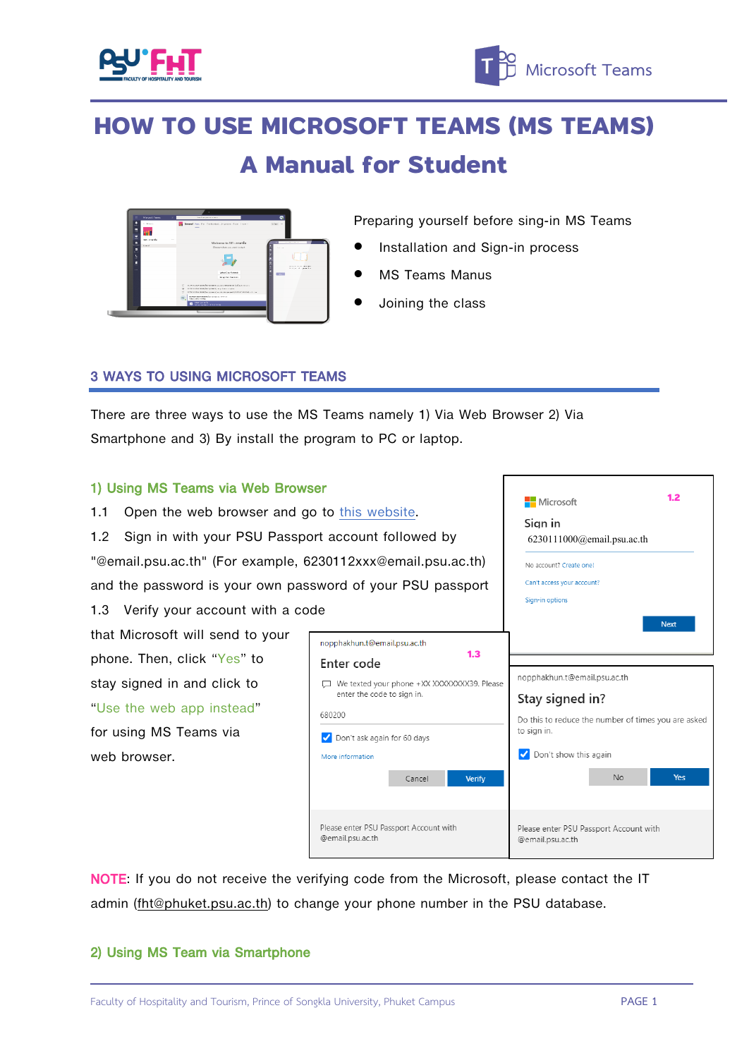

# **HOW TO USE MICROSOFT TEAMS (MS TEAMS) A Manual for Student**



Preparing yourself before sing-in MS Teams

- Installation and Sign-in process
- MS Teams Manus
- Joining the class

### 3 WAYS TO USING MICROSOFT TEAMS

There are three ways to use the MS Teams namely 1) Via Web Browser 2) Via Smartphone and 3) By install the program to PC or laptop.

#### 1) Using MS Teams via Web Browser

- 1.1 Open the web browser and go to this [website.](https://www.microsoft.com/en/microsoft-365/microsoft-teams/group-chat-software)
- 1.2 Sign in with your PSU Passport account followed by

"@email.psu.ac.th" (For example, 6230112xxx@email.psu.ac.th)

and the password is your own password of your PSU passport

#### 1.3 Verify your account with a code

that Microsoft will send to your phone. Then, click "Yes" to stay signed in and click to "Use the web app instead" for using MS Teams via web browser.



6230111000@email.psu.ac.th

Microsoft Sian in

No account? Create one Can't access your account? Sign-in options

**1.2**

NOTE: If you do not receive the verifying code from the Microsoft, please contact the IT admin [\(fht@phuket.psu.ac.th\)](mailto:fht@phuket.psu.ac.th) to change your phone number in the PSU database.

#### 2) Using MS Team via Smartphone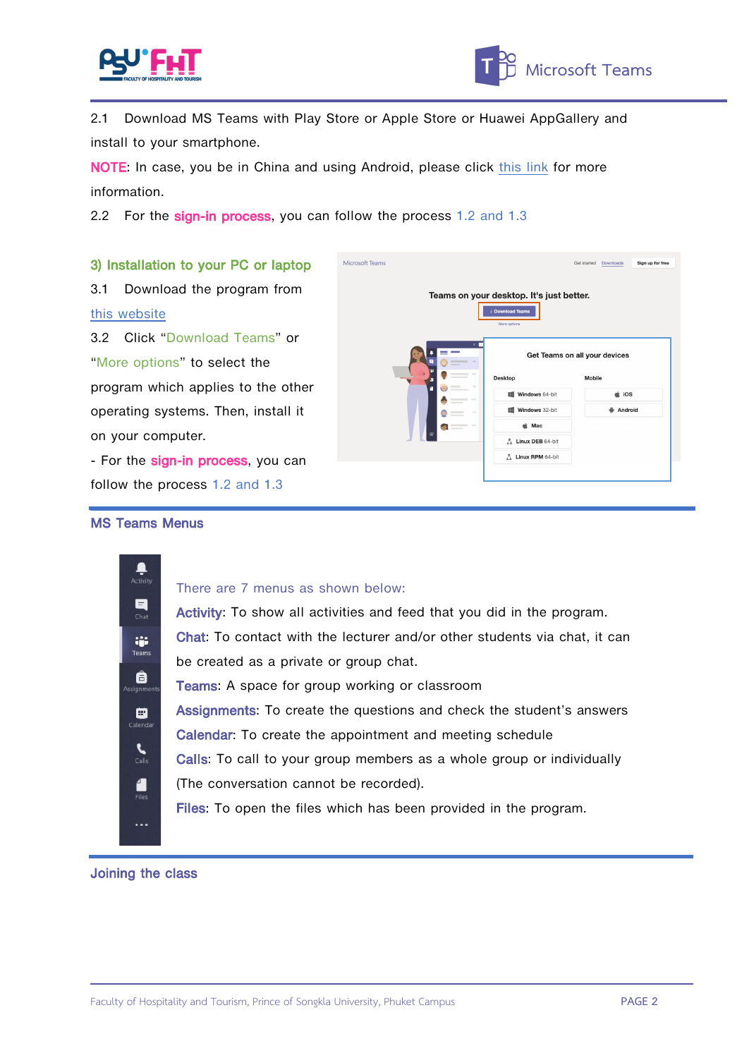



2.1 Download MS Teams with Play Store or Apple Store or Huawei AppGallery and install to your smartphone.

NOTE: In case, you be in China and using Android, please click [this](https://docs.microsoft.com/en-us/microsoftteams/get-teams-android-in-china) link for more information.

 $\overline{M}$ 

2.2 For the sign-in process, you can follow the process 1.2 and 1.3

## 3) Installation to your PC or laptop

3.1 Download the program from this [website](https://teams.microsoft.com/downloads)

3.2 Click "Download Teams" or "More options" to select the program which applies to the other operating systems. Then, install it on your computer.

- For the sign-in process, you can follow the process 1.2 and 1.3

|      | Teams on your desktop. It's just better.<br>$\pm$ Download Teams<br>More options                                                                                                                                                                                                                                                                                                                                                                                                              |                               |               |  |
|------|-----------------------------------------------------------------------------------------------------------------------------------------------------------------------------------------------------------------------------------------------------------------------------------------------------------------------------------------------------------------------------------------------------------------------------------------------------------------------------------------------|-------------------------------|---------------|--|
|      | $x -$<br>$\frac{1}{2} \left( \frac{1}{2} \right) \left( \frac{1}{2} \right) \left( \frac{1}{2} \right) \left( \frac{1}{2} \right) \left( \frac{1}{2} \right) \left( \frac{1}{2} \right) \left( \frac{1}{2} \right) \left( \frac{1}{2} \right) \left( \frac{1}{2} \right) \left( \frac{1}{2} \right) \left( \frac{1}{2} \right) \left( \frac{1}{2} \right) \left( \frac{1}{2} \right) \left( \frac{1}{2} \right) \left( \frac{1}{2} \right) \left( \frac{1}{2} \right) \left( \frac$<br>$\sim$ | Get Teams on all your devices |               |  |
|      | $-1$<br>Desktop                                                                                                                                                                                                                                                                                                                                                                                                                                                                               |                               | Mobile        |  |
| (FR) | $\sim$<br>$\sim$<br>$= -$                                                                                                                                                                                                                                                                                                                                                                                                                                                                     | Windows 64-bit                | $\dot{a}$ iOS |  |
|      | $\sim$<br>$\sim$<br>--                                                                                                                                                                                                                                                                                                                                                                                                                                                                        | <b>III</b> Windows 32-bit     | Android       |  |
|      | <b>Contract Contract Contract</b>                                                                                                                                                                                                                                                                                                                                                                                                                                                             | t Mac                         |               |  |
| œ    |                                                                                                                                                                                                                                                                                                                                                                                                                                                                                               | Linux DEB 64-bit              |               |  |
|      |                                                                                                                                                                                                                                                                                                                                                                                                                                                                                               | A Linux RPM 64-bit            |               |  |

#### MS Teams Menus



#### There are 7 menus as shown below:

Activity: To show all activities and feed that you did in the program. Chat: To contact with the lecturer and/or other students via chat, it can be created as a private or group chat. Teams: A space for group working or classroom Assignments: To create the questions and check the student's answers Calendar: To create the appointment and meeting schedule Calls: To call to your group members as a whole group or individually (The conversation cannot be recorded). Files: To open the files which has been provided in the program.

#### Joining the class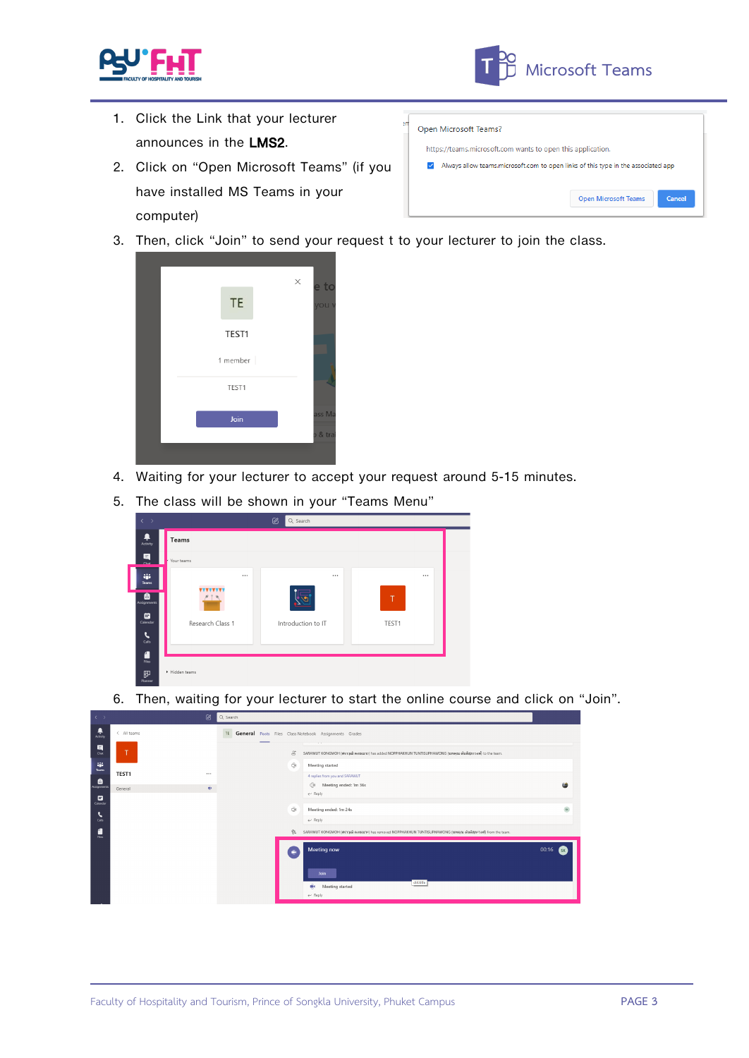

- 1. Click the Link that your lecturer announces in the LMS2.
- 2. Click on "Open Microsoft Teams" (if you have installed MS Teams in your computer)

| Open Microsoft Teams?                                                                    |                                       |  |  |  |  |
|------------------------------------------------------------------------------------------|---------------------------------------|--|--|--|--|
| https://teams.microsoft.com wants to open this application.                              |                                       |  |  |  |  |
| Always allow teams, microsoft, com to open links of this type in the associated app<br>✓ |                                       |  |  |  |  |
|                                                                                          | <b>Open Microsoft Teams</b><br>Cancel |  |  |  |  |

3. Then, click "Join" to send your request t to your lecturer to join the class.



- 4. Waiting for your lecturer to accept your request around 5-15 minutes.
- 5. The class will be shown in your "Teams Menu" **2** Q Sea  $\ddot{\phantom{1}}$ **Teams**  $\blacksquare$ inje<br>Teams **VVVVVVV**  $\bullet$ **ED**<br>Calenda Research Class 1 Introduction to IT TEST1  $\sum_{\text{CMB}}$  $\frac{1}{\pi}$  $\mathbb F$
- 6. Then, waiting for your lecturer to start the online course and click on "Join".

| $\langle \cdot \rangle$ |             | ⋓  | Q Search                                                                                                                                                                 |            |
|-------------------------|-------------|----|--------------------------------------------------------------------------------------------------------------------------------------------------------------------------|------------|
| ۹<br>Activity           | < All teams |    | General Posts Files Class Notebook Assignments Grades<br>TE<br>__                                                                                                        |            |
| 日<br>Over               | т           |    | $\sim$<br>$\mathcal{E}^*$<br>SARAWUT KONGMOH (ศราวุฒิ คงเหมาะ) has added NOPPHAKHUN TUNTISUPHAWONG (นพฤณ ต้นติสุภะวงศ์) to the team.                                     |            |
| <b>ALC</b><br>Teams     | TEST1       |    | O<br>Meeting started<br>4 replies from you and SARAWUT                                                                                                                   |            |
| ê<br>Assignment         | General     | Ŵ. | $\ominus$<br>Meeting ended: 1m 36s<br>$\leftarrow$ Reply                                                                                                                 |            |
| ▩<br>Calendar<br>ъ      |             |    | Õ.<br>Meeting ended: 1m 24s                                                                                                                                              | $\propto$  |
| Calls<br>F              |             |    | $\leftarrow$ Reply<br>$\frac{\partial \phi}{\partial x}$<br>SARAWUT KONGMOH (ศราวุฒิ คงเหมาะ) has removed NOPPHAKHUN TUNTISUPHAWONG (นพคุณ ต้นติสุภะวงศ์) from the team. |            |
| Film                    |             |    | Meeting now                                                                                                                                                              | 00:16<br>s |
|                         |             |    | ۰                                                                                                                                                                        |            |
|                         |             |    | Join<br>ctrittitle<br>die<br>Meeting started                                                                                                                             |            |
|                         |             |    | $\leftarrow$ Reply                                                                                                                                                       |            |